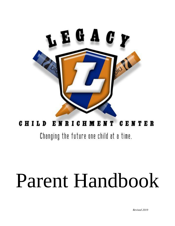

## CHILD ENRICHMENT CENTER

Changing the future one child at a time.

# Parent Handbook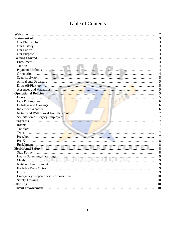## **Table of Contents**

| Statement of manual continuum contractors and the contractors of manual contractors and the statement of manual contractors of the statement of manual contractors of the statement of the statement of the statement of the s      | 3              |
|-------------------------------------------------------------------------------------------------------------------------------------------------------------------------------------------------------------------------------------|----------------|
| Our Philosophy (and the contract of the contract of the contract of the contract of the contract of the contract of the contract of the contract of the contract of the contract of the contract of the contract of the contra      | 3              |
|                                                                                                                                                                                                                                     | 3              |
| Our Future                                                                                                                                                                                                                          | 3              |
|                                                                                                                                                                                                                                     | 3              |
| Getting Started <i>and the communication of contact the statesting Started</i> and the statesting started                                                                                                                           | 3              |
|                                                                                                                                                                                                                                     |                |
| Tuition                                                                                                                                                                                                                             | 4              |
|                                                                                                                                                                                                                                     | $\overline{4}$ |
| Orientation                                                                                                                                                                                                                         | 4              |
|                                                                                                                                                                                                                                     | 5              |
|                                                                                                                                                                                                                                     | 5              |
|                                                                                                                                                                                                                                     | 5              |
|                                                                                                                                                                                                                                     | 5              |
| Operational Policies <b>and Communications</b> and Communications and Communications and Communications and Communications and Communications and Communications and Communications and Communications and Communications and Commu | 5              |
| Hours                                                                                                                                                                                                                               | 5              |
|                                                                                                                                                                                                                                     | 6              |
| Holidays and Closings <b>Example 20</b> in the contract of the contract of the contract of the contract of the contract of the contract of the contract of the contract of the contract of the contract of the contract of the cont | 6              |
| <b>Inclement Weather</b>                                                                                                                                                                                                            | 6              |
| Notice and Withdrawal from the Center (Material Communication) and Withdrawal from the Center (Material Communication)                                                                                                              | 7              |
| Solicitation of Legacy Employees <b>Constitution</b> Solicitation of Legacy Employees <b>Constitution</b>                                                                                                                           | 7              |
|                                                                                                                                                                                                                                     | 7              |
| Infants                                                                                                                                                                                                                             | 7              |
|                                                                                                                                                                                                                                     | 7              |
| Twos                                                                                                                                                                                                                                | 7              |
|                                                                                                                                                                                                                                     | $\overline{7}$ |
| Pre-K                                                                                                                                                                                                                               | 8              |
|                                                                                                                                                                                                                                     | 8              |
| Enrichments<br>Health and Safety<br><b>Example 2018</b>                                                                                                                                                                             | 8              |
| <b>Sick Policy</b>                                                                                                                                                                                                                  | 8              |
|                                                                                                                                                                                                                                     | 9              |
| Health Screenings/Trainings<br>Meals                                                                                                                                                                                                | 9              |
| Nut-Free Environment                                                                                                                                                                                                                | 9              |
| <b>Birthday Party Options</b>                                                                                                                                                                                                       | 9              |
| <b>Drills</b>                                                                                                                                                                                                                       | 9              |
|                                                                                                                                                                                                                                     | 10             |
| <b>Safety Training</b>                                                                                                                                                                                                              | 10             |
| <b>Clothing</b>                                                                                                                                                                                                                     | 10             |
|                                                                                                                                                                                                                                     | 10             |
|                                                                                                                                                                                                                                     |                |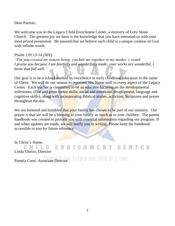Dear Parents,

We welcome you to the Legacy Child Enrichment Center, a ministry of Grey Stone Church. The greatest joy we have is the knowledge that you have entrusted us with your most prized possession. Be assured that we believe each child is a unique creation of God with infinite worth.

#### *Psalm 139:13-14 (NIV)*

*"For you created my inmost being; you knit me together in my mother's womb. I praise you because I am fearfully and wonderfully made; your works are wonderful, I know that full well."* 

Our goal is to be a school marked by excellence in early childhood education in the name of Christ. We will do our utmost to represent His Name well in every aspect of the Legacy Center. Each teacher is committed to be an educator focusing on the developmental milestones, (fine and gross motor skills, social and emotional development, language and cognitive skills), along with incorporating Biblical stories, activities, Scriptures and prayer throughout the day.

We are honored and humbled that your family has chosen to be part of our ministry. Our prayer is that we will be a blessing to your family as much as to your children. The parent handbook was created to provide you with essential information regarding our program. If and when updates are made, we will notify you in writing. Please keep the handbook accessible to you for future reference.

#### In Christ's Name,

**CENTER** GHILD G H KN Linda Chavis, Director

Pamela Creel, Associate Director <sup>e</sup> future one child at a time.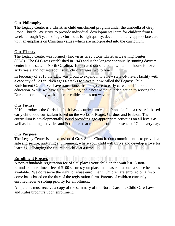#### **Our Philosophy**

The Legacy Center is a Christian child enrichment program under the umbrella of Grey Stone Church. We strive to provide individual, developmental care for children from 6 weeks through 5 years of age. Our focus is high quality, developmentally appropriate care with an emphasis on Christian values which are incorporated into the curriculum.

#### **Our History**

The Legacy Center was formerly known as Grey Stone Christian Learning Center (CLC). The CLC was established in 1943 and is the longest continually running daycare center in the state of North Carolina. It operated out of an old, white mill house for over sixty years and housed about sixty children ages two to five.

In February of 2013 the CLC was proud to expand into a new state-of-the-art facility with a capacity of 120 children ages 6 weeks to 5 years, now called the Legacy Child Enrichment Center. We have transitioned from daycare to early care and childhood education. While we have a new building and a new name, our dedication to serving the Durham community with superior childcare has not wavered.

#### **Our Future**

2019 introduces the Christian faith-based curriculum called Pinnacle. It is a research-based early childhood curriculum based on the works of Piaget, Gardner and Erikson. The curriculum is developmentally sound providing age-appropriate activities on all levels as well as including activities and Scriptures that remind us of the presence of God every day.

#### **Our Purpose**

The Legacy Center is an extension of Grey Stone Church. Our commitment is to provide a safe and secure, nurturing environment, where your child will thrive and develop a love for learning: Changing the future one child at a time. -GEAR TER

### **Enrollment Process** annual the time and child at a

A non-refundable registration fee of \$35 places your child on the wait list. A nonrefundable enrollment fee of \$100 secures your place in a classroom once a space becomes available. We do reserve the right to refuse enrollment. Children are enrolled on a firstcome basis based on the date of the registration form. Parents of children currently enrolled receive sibling priority for enrollment.

All parents must receive a copy of the summary of the North Carolina Child Care Laws and Rules brochure upon enrollment.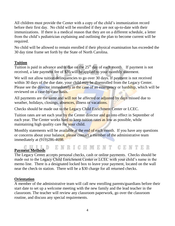All children must provide the Center with a copy of the child's immunization record before their first day. No child will be enrolled if they are not up-to-date with their immunizations. If there is a medical reason that they are on a different schedule, a letter from the child's pediatrician explaining and outlining the plan to become current will be required.

No child will be allowed to remain enrolled if their physical examination has exceeded the 30 day time frame set forth by the State of North Carolina.

#### **Tuition**

Tuition is paid in advance and is due on the  $25<sup>th</sup>$  day of each month. If payment is not received, a late payment fee of \$35 will be applied to your monthly statement.

We will not allow tuition delinquencies to go over 30 days. If payment is not received within 30 days of the due date, your child may be disenrolled from the Legacy Center. Please see the director immediately in the case of an emergency or hardship, which will be reviewed on a case-by-case basis.

All payments are the same and will not be affected or adjusted by days missed due to weather, holidays, closings, absences, illness or vacations.

Checks should be made out to the Legacy Child Enrichment Center or LCEC.

Tuition rates are set each year by the Center director and go into effect in September of each year. The Center works hard to keep tuition rates as low as possible, while maintaining high quality care for your child.

Monthly statements will be available at the end of each month. If you have any questions or concerns about your balance, please contact a member of the administrative team immediately at (919)286-4698.

# Payment Methods E N R I C H M E N T G E N T E R

The Legacy Center accepts personal checks, cash or online payments. Checks should be made out to the Legacy Child Enrichment Center or LCEC with your child's name in the memo line. There is a designated locked box to leave your payment, located on the wall near the check-in station. There will be a \$30 charge for all returned checks.

#### **Orientation**

A member of the administrative team will call new enrolling parents/guardians before their start date to set up a welcome meeting with the new family and the lead teacher in the classroom. The teacher will review any classroom paperwork, go over the classroom routine, and discuss any special requirements.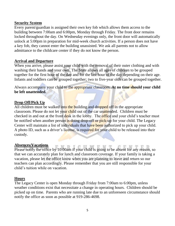#### **Security System**

Every parent/guardian is assigned their own key fob which allows them access to the building between 7:00am and 6:00pm, Monday through Friday. The front door remains locked throughout the day. On Wednesday evenings only, the front door will automatically unlock at 5:00pm in preparation for mid-week church activities. If a person does not have a key fob, they cannot enter the building unassisted. We ask all parents not to allow admittance to the childcare center if they do not know the person.

#### **Arrival and Departure**

When you arrive, please assist your child with the removal of their outer clothing and with washing their hands and your own. The State allows all ages of children to be grouped together for the first hour of the day and for the last hour of the day depending on their age. Infants and toddlers can be grouped together; two to five-year olds can be grouped together.

Always accompany your child to the appropriate classroom. **At no time should your child be left unattended.**

#### **Drop Off/Pick Up**

All children must be walked into the building and dropped off in the appropriate classroom. Please do not let your child out of the car unattended. Children must be checked in and out at the front desk in the lobby. The office and your child's teacher must be notified when another person is doing drop-off or pick-up for your child. The Legacy Center will maintain a list of individuals that have been authorized to pick up your child. A photo ID, such as a driver's license, is required for your child to be released into their custody.

#### **Absences/Vacations**

**Produce Americal Structures**<br>Please notify the office by 10:00am if your child is going to be absent for any reason, so that we can accurately plan for lunch and classroom coverage. If your family is taking a vacation, please let the office know when you are planning to leave and return so our teachers can plan accordingly. Please remember that you are still responsible for your child's tuition while on vacation.

#### **Hours**

The Legacy Center is open Monday through Friday from 7:00am to 6:00pm, unless weather conditions exist that necessitate a change in operating hours. Children should be picked up on time. Parents who are running late due to an unforeseen circumstance should notify the office as soon as possible at 919-286-4698.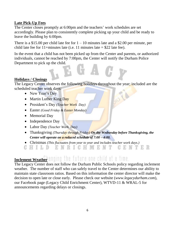#### **Late Pick-Up Fees**

The Center closes promptly at 6:00pm and the teachers' work schedules are set accordingly. Please plan to consistently complete picking up your child and be ready to leave the building by 6:00pm.

There is a \$15.00 per child late fee for  $1 - 10$  minutes late and a \$2.00 per minute, per child late fee for 11+minutes late (i.e. 11 minutes late  $= $22$  late fee).

In the event that a child has not been picked up from the Center and parents, or authorized individuals, cannot be reached by 7:00pm, the Center will notify the Durham Police Department to pick up the child.

#### **Holidays / Closings**

The Legacy Center observes the following holidays throughout the year; included are the scheduled teacher work days: L.

- New Year's Day
- Martin Luther King Day
- President's Day *(Teacher Work Day)*
- Easter *(Good Friday & Easter Monday)*
- Memorial Day
- Independence Day
- Labor Day *(Teacher Work Day)*
- Thanksgiving *(Thursday through Friday) On the Wednesday before Thanksgiving, the Center will operate on a reduced schedule of 7:00 – 4:00.*
- Christmas *(This fluctuates from year to year and includes teacher work days.)*

GHILD ENRIGHMENT GENTER

## **Inclement Weather** anging the future one child at a time.

The Legacy Center does not follow the Durham Public Schools policy regarding inclement weather. The number of staff who can safely travel to the Center determines our ability to maintain state classroom ratios. Based on this information the center director will make the decision to open late or close early. Please check our website (*www.legacydurham.com*), our Facebook page (Legacy Child Enrichment Center), WTVD-11 & WRAL-5 for announcements regarding delays or closings.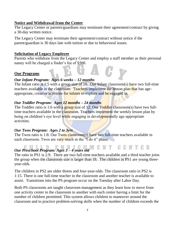#### **Notice and Withdrawal from the Center**

The Legacy Center or parents/guardians may terminate their agreement/contract by giving a 30-day written notice.

The Legacy Center may terminate their agreement/contract without notice if the parent/guardian is 30 days late with tuition or due to behavioral issues.

#### **Solicitation of Legacy Employee**

Parents who withdraw from the Legacy Center and employ a staff member as their personal nanny will be charged a finder's fee of \$500.

#### **Our Programs**

#### *Our Infant Program: Ages 6 weeks – 12 months*

The Infant ratio is 1:5 with a group size of 10. Our Infant classroom(s) have two full-time teachers available in the classroom. Teachers implement the lesson plan that has ageappropriate, creative activities for infants to explore and be engaged in.

#### *Our Toddler Program: Ages 12 months – 24 months*

The Toddler ratio is 1:6 with a group size of 12. Our Toddler classroom(s) have two fulltime teachers available in the classroom. Teachers implement the weekly lesson plan by being on children's eye level while engaging in developmentally age-appropriate activities.

#### *Our Twos Program: Ages 2 to 3yrs*

The Twos ratio is 1:8. Our Twos classroom(s) have two full-time teachers available in each classroom. Twos are very much in the "I do it" phase.

# *Our Preschool Program: Ages 3 – 4 years old*

The ratio in PS1 is 1:9. There are two full-time teachers available and a third teacher joins the group when the classroom size is larger than 18. The children in PS1 are young threeyear-olds.

The children in PS2 are older threes and four-year-olds. The classroom ratio in PS2 is 1:15. There is one full-time teacher in the classroom and another teacher is available to assist. Transitions into the PS program occur on the Tuesday after Labor Day.

Both PS classrooms are taught classroom management as they learn how to move from one activity center in the classroom to another with each center having a limit for the number of children permitted. This system allows children to maneuver around the classroom and to practice problem-solving skills when the number of children exceeds the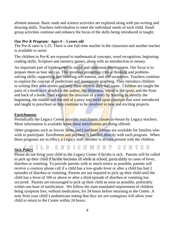allotted amount. Basic math and science activities are explored along with pre-writing and drawing skills. Teachers individualize to meet the individual needs of each child. Small group activities continue and enhance the focus of the skills being introduced or taught.

#### *Our Pre-K Program: Ages 4 – 5 years old*

The Pre-K ratio is 1:25. There is one full-time teacher in the classroom and another teacher is available to assist.

The children in Pre-K are exposed to mathematical concepts, word recognition, beginning reading skills, Scripture and memory games, along with an introduction to money.

An important part of kindergarten is social and emotional development. Our focus is to prepare them as best we can. This involves promoting critical thinking and problemsolving skills, supporting and fostering self-esteem, and self-awareness. Teachers continue to explore the concept of predictions and incorporate graphing. They introduce children to writing their own stories and help them identify their full name. Children are taught the parts of a book such as who is the author, the illustrator, where is the spine, and the front and back of a book. They explore the structure of a story by learning to identify the beginning, the middle and the end of a story and build upon concepts that were introduced and taught in preschool as they continue to be involved in new and exciting projects.

#### **Enrichments**

Periodically the Legacy Center provides enrichment classes in-house by Legacy teachers. More information is available when these enrichments are being offered.

Other programs such as Soccer Shots and LionHeart Fitness are available for families who wish to participate. Enrollment and payment is handled directly with each program. When these programs are in effect, a Legacy staff member is always present with the children.

# Sick Policy ILD ENRICHMENT CENTER

Please do not bring your child to the Legacy Center if he/she is sick. Parents will be called to pick up their child if he/she becomes ill while at school, particularly in cases of fever, diarrhea or vomiting. To provide parents with as much notice as possible, parents will receive a courtesy phone call if a child has a low-grade fever or after a child has had 2 episodes of diarrhea or vomiting. Parents are not required to pick up their child until the child has a fever of 100 or above or after a third episode of diarrhea or vomiting has occurred. Parents are encouraged to pick up their child as soon as possible, preferably within one hour of notification. We follow the state-mandated requirement of children being symptom free, without medication, for 24 hours before returning to the Center. A note from your child's pediatrician stating that they are not contagious will allow your child to return to the Center within 24 hours.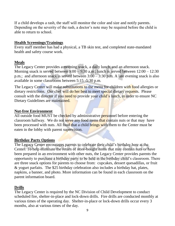If a child develops a rash, the staff will monitor the color and size and notify parents. Depending on the severity of the rash, a doctor's note may be required before the child is able to return to school.

#### **Health Screenings/Trainings**

Every staff member has had a physical, a TB skin test, and completed state-mandated health and safety course work.

#### **Meals**

The Legacy Center provides a morning snack, a daily lunch, and an afternoon snack. Morning snack is served between 9:00 – 9:30 a.m.; lunch is served between  $12:00 - 12:30$ p.m.; and afternoon snack is served between 3:00 – 3:30 p.m. A late evening snack is also available in some classrooms between 5:15 -5:30 p.m.

The Legacy Center will make substitutions to the menu for children with food allergies or dietary restrictions. Our chef will do her best to meet special dietary requests. Please consult with the director if you need to provide your child's lunch, in order to ensure NC Dietary Guidelines are maintained.

#### **Nut-free Environment**

All outside food MUST be checked by administrative personnel before entering the classroom hallway. We do not serve any food items that contain nuts or that may have been processed with nuts. All food that a child brings with them to the Center must be eaten in the lobby with parent supervision.

#### **Birthday Party Options**

The Legacy Center encourages parents to celebrate their child's birthday here at the Center. To help eliminate the return of store-bought items that may contain nuts or have been prepared in an environment with other nuts, the Legacy Center provides parents the opportunity to purchase a birthday party to be held in the birthday child's classroom. There are three snack options for parents to choose from: cupcakes, dessert quesadillas, or fruit & yogurt parfaits. The \$25 birthday celebration also includes a birthday hat, plates, napkins, a banner, and photo. More information can be found in each classroom on the parent information board.

#### **Drills**

The Legacy Center is required by the NC Division of Child Development to conduct scheduled fire, shelter-in-place and lock-down drills. Fire drills are conducted monthly at various times of the operating day. Shelter-in-place or lock-down drills occur every 3 months, also at various times of the day.